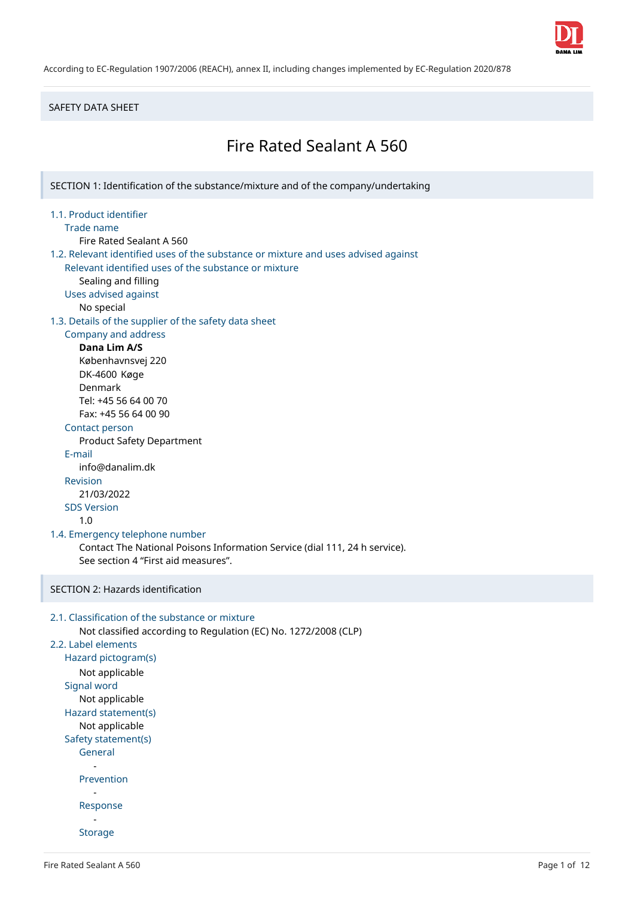

SAFETY DATA SHEET

# Fire Rated Sealant A 560

SECTION 1: Identification of the substance/mixture and of the company/undertaking

## 1.1. Product identifier

Trade name

Fire Rated Sealant A 560

- 1.2. Relevant identified uses of the substance or mixture and uses advised against Relevant identified uses of the substance or mixture
	- Sealing and filling
	- Uses advised against
		- No special
	-

## 1.3. Details of the supplier of the safety data sheet

## Company and address

**Dana Lim A/S** Københavnsvej 220 DK-4600 Køge Denmark Tel: +45 56 64 00 70 Fax: +45 56 64 00 90

## Contact person

Product Safety Department

## E-mail

info@danalim.dk

## Revision

21/03/2022

## SDS Version

1.0

## 1.4. Emergency telephone number

Contact The National Poisons Information Service (dial 111, 24 h service). See section 4 "First aid measures".

## SECTION 2: Hazards identification

```
2.1. Classification of the substance or mixture
      Not classified according to Regulation (EC) No. 1272/2008 (CLP)
2.2. Label elements
   Hazard pictogram(s)
      Not applicable
   Signal word
      Not applicable
   Hazard statement(s)
      Not applicable
   Safety statement(s)
      General
         -
      Prevention
         -
      Response
         -
      Storage
```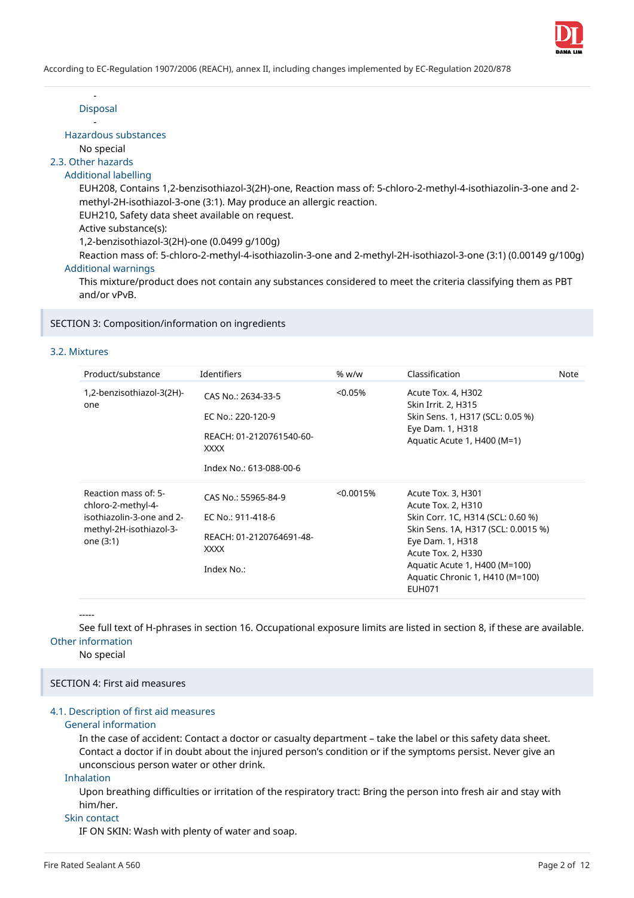

- Disposal -

Hazardous substances

No special

2.3. Other hazards

## Additional labelling

EUH208, Contains 1,2-benzisothiazol-3(2H)-one, Reaction mass of: 5-chloro-2-methyl-4-isothiazolin-3-one and 2 methyl-2H-isothiazol-3-one (3:1). May produce an allergic reaction.

EUH210, Safety data sheet available on request.

Active substance(s):

1,2-benzisothiazol-3(2H)-one (0.0499 g/100g)

Reaction mass of: 5-chloro-2-methyl-4-isothiazolin-3-one and 2-methyl-2H-isothiazol-3-one (3:1) (0.00149 g/100g) Additional warnings

This mixture/product does not contain any substances considered to meet the criteria classifying them as PBT and/or vPvB.

SECTION 3: Composition/information on ingredients

## 3.2. Mixtures

| Product/substance                                                                                               | Identifiers                                                                                                   | % w/w      | Classification                                                                                                                                                                                                                                      | Note |
|-----------------------------------------------------------------------------------------------------------------|---------------------------------------------------------------------------------------------------------------|------------|-----------------------------------------------------------------------------------------------------------------------------------------------------------------------------------------------------------------------------------------------------|------|
| 1,2-benzisothiazol-3(2H)-<br>one                                                                                | CAS No.: 2634-33-5<br>EC No.: 220-120-9<br>REACH: 01-2120761540-60-<br><b>XXXX</b><br>Index No.: 613-088-00-6 | $< 0.05\%$ | Acute Tox. 4, H302<br>Skin Irrit. 2, H315<br>Skin Sens. 1, H317 (SCL: 0.05 %)<br>Eye Dam. 1, H318<br>Aquatic Acute 1, H400 (M=1)                                                                                                                    |      |
| Reaction mass of: 5-<br>chloro-2-methyl-4-<br>isothiazolin-3-one and 2-<br>methyl-2H-isothiazol-3-<br>one (3:1) | CAS No.: 55965-84-9<br>EC No.: 911-418-6<br>REACH: 01-2120764691-48-<br><b>XXXX</b><br>Index No.:             | < 0.0015%  | Acute Tox. 3, H301<br>Acute Tox. 2, H310<br>Skin Corr. 1C, H314 (SCL: 0.60 %)<br>Skin Sens. 1A, H317 (SCL: 0.0015 %)<br>Eye Dam. 1, H318<br>Acute Tox. 2, H330<br>Aquatic Acute 1, H400 (M=100)<br>Aquatic Chronic 1, H410 (M=100)<br><b>EUH071</b> |      |

-----

See full text of H-phrases in section 16. Occupational exposure limits are listed in section 8, if these are available. Other information

No special

SECTION 4: First aid measures

## 4.1. Description of first aid measures

## General information

In the case of accident: Contact a doctor or casualty department – take the label or this safety data sheet. Contact a doctor if in doubt about the injured person's condition or if the symptoms persist. Never give an unconscious person water or other drink.

## Inhalation

Upon breathing difficulties or irritation of the respiratory tract: Bring the person into fresh air and stay with him/her.

## Skin contact

IF ON SKIN: Wash with plenty of water and soap.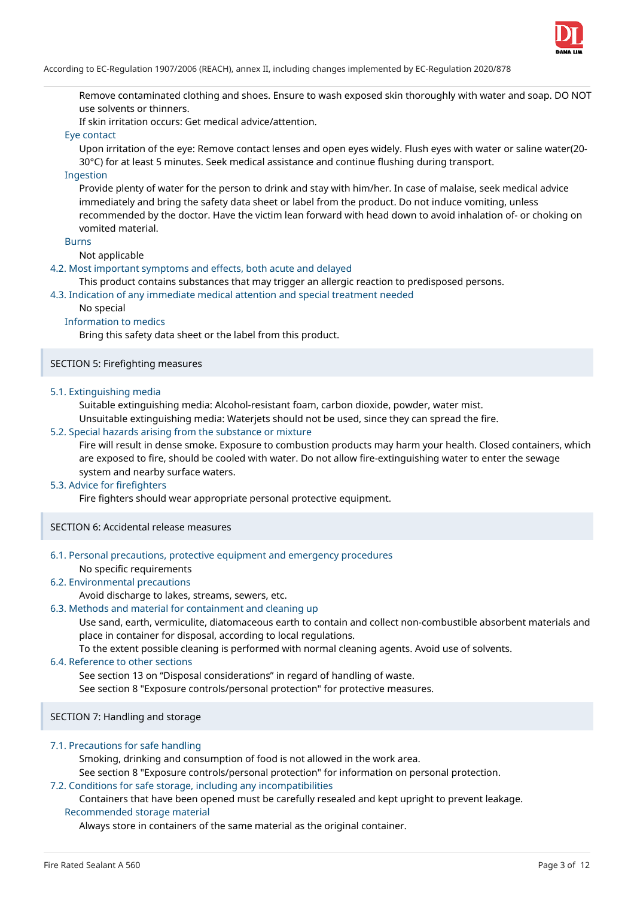

Remove contaminated clothing and shoes. Ensure to wash exposed skin thoroughly with water and soap. DO NOT use solvents or thinners.

If skin irritation occurs: Get medical advice/attention.

## Eye contact

Upon irritation of the eye: Remove contact lenses and open eyes widely. Flush eyes with water or saline water(20- 30°C) for at least 5 minutes. Seek medical assistance and continue flushing during transport.

#### Ingestion

Provide plenty of water for the person to drink and stay with him/her. In case of malaise, seek medical advice immediately and bring the safety data sheet or label from the product. Do not induce vomiting, unless recommended by the doctor. Have the victim lean forward with head down to avoid inhalation of- or choking on vomited material.

#### **Burns**

#### Not applicable

#### 4.2. Most important symptoms and effects, both acute and delayed

This product contains substances that may trigger an allergic reaction to predisposed persons.

#### 4.3. Indication of any immediate medical attention and special treatment needed

#### No special

## Information to medics

Bring this safety data sheet or the label from this product.

#### SECTION 5: Firefighting measures

## 5.1. Extinguishing media

Suitable extinguishing media: Alcohol-resistant foam, carbon dioxide, powder, water mist.

Unsuitable extinguishing media: Waterjets should not be used, since they can spread the fire.

## 5.2. Special hazards arising from the substance or mixture

Fire will result in dense smoke. Exposure to combustion products may harm your health. Closed containers, which are exposed to fire, should be cooled with water. Do not allow fire-extinguishing water to enter the sewage system and nearby surface waters.

## 5.3. Advice for firefighters

Fire fighters should wear appropriate personal protective equipment.

#### SECTION 6: Accidental release measures

## 6.1. Personal precautions, protective equipment and emergency procedures

No specific requirements

## 6.2. Environmental precautions

## Avoid discharge to lakes, streams, sewers, etc.

## 6.3. Methods and material for containment and cleaning up

Use sand, earth, vermiculite, diatomaceous earth to contain and collect non-combustible absorbent materials and place in container for disposal, according to local regulations.

To the extent possible cleaning is performed with normal cleaning agents. Avoid use of solvents.

## 6.4. Reference to other sections

See section 13 on "Disposal considerations" in regard of handling of waste.

See section 8 "Exposure controls/personal protection" for protective measures.

## SECTION 7: Handling and storage

#### 7.1. Precautions for safe handling

Smoking, drinking and consumption of food is not allowed in the work area.

See section 8 "Exposure controls/personal protection" for information on personal protection.

#### 7.2. Conditions for safe storage, including any incompatibilities

## Containers that have been opened must be carefully resealed and kept upright to prevent leakage. Recommended storage material

Always store in containers of the same material as the original container.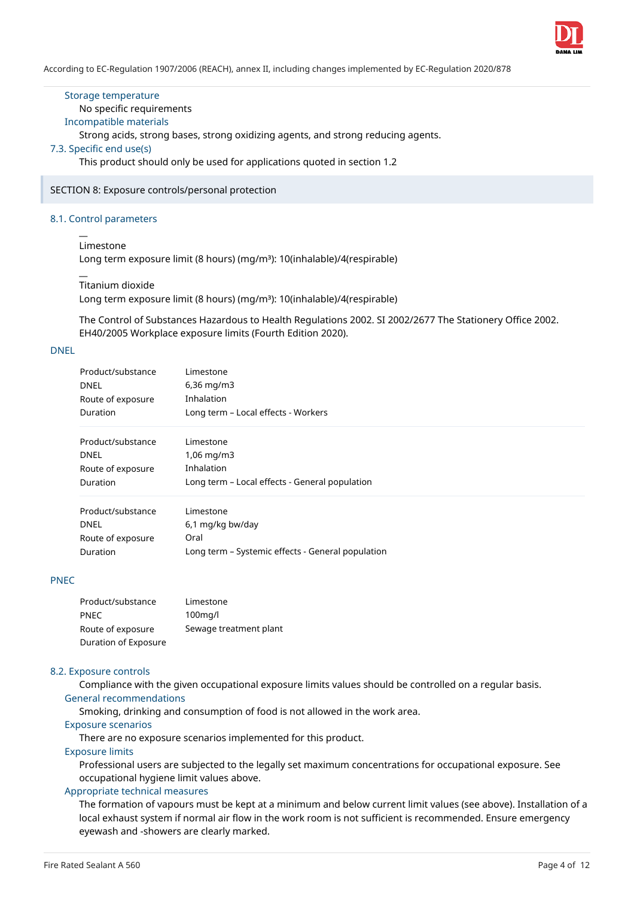

## Storage temperature

## No specific requirements

## Incompatible materials

Strong acids, strong bases, strong oxidizing agents, and strong reducing agents.

## 7.3. Specific end use(s)

This product should only be used for applications quoted in section 1.2

#### SECTION 8: Exposure controls/personal protection

## 8.1. Control parameters

#### $\overline{a}$ Limestone

 $\overline{a}$ 

Long term exposure limit (8 hours) (mg/m<sup>3</sup>): 10(inhalable)/4(respirable)

#### Titanium dioxide

Long term exposure limit (8 hours) (mg/m<sup>3</sup>): 10(inhalable)/4(respirable)

The Control of Substances Hazardous to Health Regulations 2002. SI 2002/2677 The Stationery Office 2002. EH40/2005 Workplace exposure limits (Fourth Edition 2020).

## DNEL

| Product/substance | Limestone                                         |
|-------------------|---------------------------------------------------|
| <b>DNEL</b>       | $6,36 \,\mathrm{mg/m}$                            |
| Route of exposure | Inhalation                                        |
| Duration          | Long term - Local effects - Workers               |
| Product/substance | Limestone                                         |
| <b>DNEL</b>       | $1,06 \,\mathrm{mq/m3}$                           |
| Route of exposure | Inhalation                                        |
| Duration          | Long term - Local effects - General population    |
| Product/substance | Limestone                                         |
| <b>DNEL</b>       | 6,1 mg/kg bw/day                                  |
| Route of exposure | Oral                                              |
| Duration          | Long term - Systemic effects - General population |

## PNEC

| Product/substance    | Limestone              |
|----------------------|------------------------|
| <b>PNEC</b>          | $100$ mg/l             |
| Route of exposure    | Sewage treatment plant |
| Duration of Exposure |                        |

#### 8.2. Exposure controls

Compliance with the given occupational exposure limits values should be controlled on a regular basis. General recommendations

Smoking, drinking and consumption of food is not allowed in the work area.

## Exposure scenarios

There are no exposure scenarios implemented for this product.

## Exposure limits

Professional users are subjected to the legally set maximum concentrations for occupational exposure. See occupational hygiene limit values above.

## Appropriate technical measures

The formation of vapours must be kept at a minimum and below current limit values (see above). Installation of a local exhaust system if normal air flow in the work room is not sufficient is recommended. Ensure emergency eyewash and -showers are clearly marked.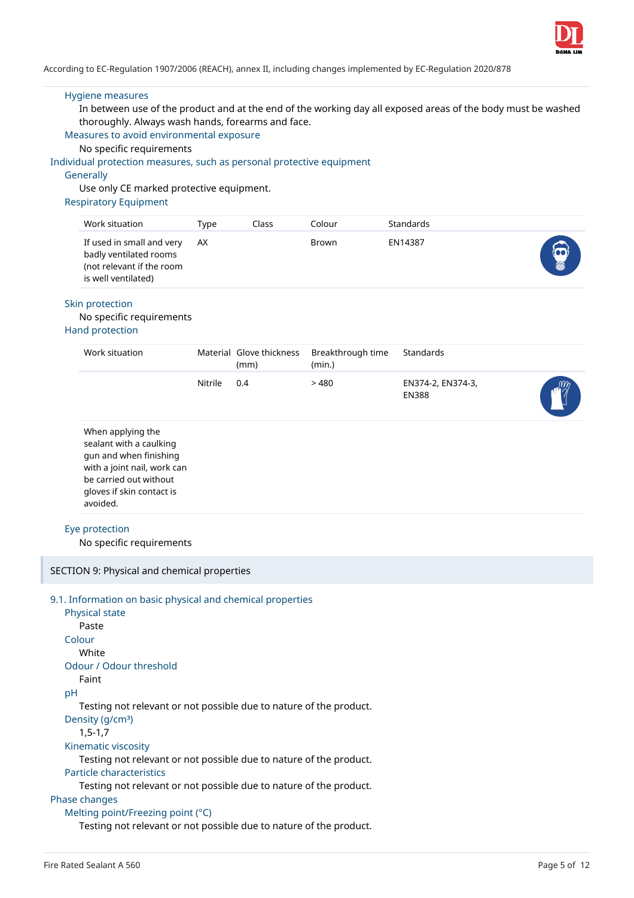

#### Hygiene measures

In between use of the product and at the end of the working day all exposed areas of the body must be washed thoroughly. Always wash hands, forearms and face.

Measures to avoid environmental exposure

No specific requirements

#### Individual protection measures, such as personal protective equipment

#### **Generally**

Use only CE marked protective equipment.

#### Respiratory Equipment

| Work situation                                                                                          | Type | Class | Iolour | Standards |  |
|---------------------------------------------------------------------------------------------------------|------|-------|--------|-----------|--|
| If used in small and very<br>badly ventilated rooms<br>(not relevant if the room<br>is well ventilated) | AX   |       | Brown  | EN14387   |  |

### Skin protection

#### No specific requirements

## Hand protection

| Work situation                                                                                                                                                           |         | Material Glove thickness<br>(mm) | Breakthrough time<br>(min.) | Standards                         |  |
|--------------------------------------------------------------------------------------------------------------------------------------------------------------------------|---------|----------------------------------|-----------------------------|-----------------------------------|--|
|                                                                                                                                                                          | Nitrile | 0.4                              | >480                        | EN374-2, EN374-3,<br><b>EN388</b> |  |
| When applying the<br>sealant with a caulking<br>gun and when finishing<br>with a joint nail, work can<br>be carried out without<br>gloves if skin contact is<br>avoided. |         |                                  |                             |                                   |  |
| Eye protection<br>No specific requirements                                                                                                                               |         |                                  |                             |                                   |  |
| SECTION 9: Physical and chemical properties                                                                                                                              |         |                                  |                             |                                   |  |
| 9.1. Information on basic physical and chemical properties<br>Physical state<br>Paste<br>Colour                                                                          |         |                                  |                             |                                   |  |

| White                   |  |
|-------------------------|--|
| Odour / Odour threshold |  |

## Faint

## pH

Testing not relevant or not possible due to nature of the product.

Density (g/cm<sup>3</sup>)

1,5-1,7

## Kinematic viscosity

Testing not relevant or not possible due to nature of the product.

#### Particle characteristics

Testing not relevant or not possible due to nature of the product.

## Phase changes

Melting point/Freezing point (°C)

Testing not relevant or not possible due to nature of the product.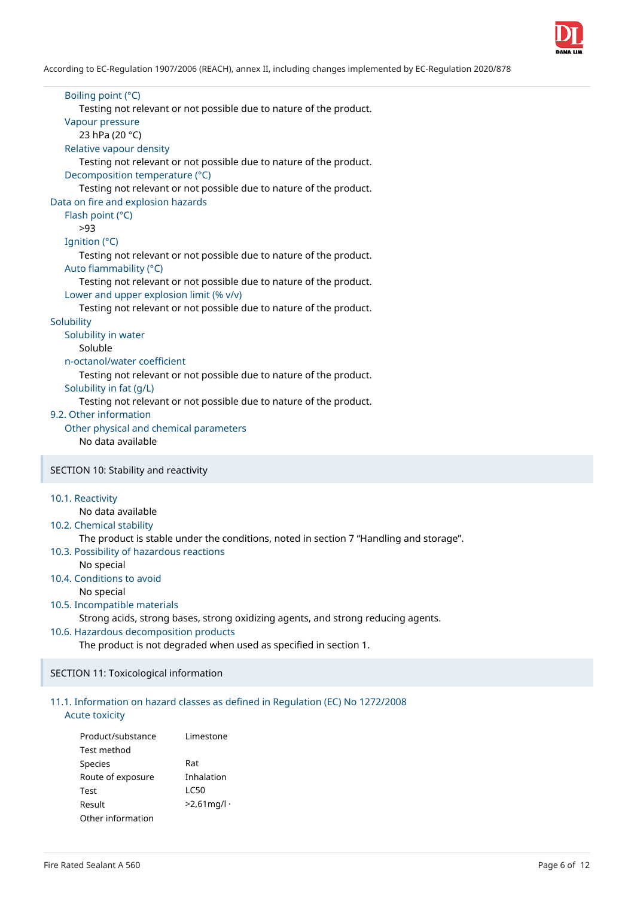

Boiling point (°C) Testing not relevant or not possible due to nature of the product. Vapour pressure 23 hPa (20 °C) Relative vapour density Testing not relevant or not possible due to nature of the product. Decomposition temperature (°C) Testing not relevant or not possible due to nature of the product. Data on fire and explosion hazards Flash point (°C) >93 Ignition (°C) Testing not relevant or not possible due to nature of the product. Auto flammability (°C) Testing not relevant or not possible due to nature of the product. Lower and upper explosion limit (% v/v) Testing not relevant or not possible due to nature of the product. **Solubility** Solubility in water Soluble n-octanol/water coefficient Testing not relevant or not possible due to nature of the product. Solubility in fat (g/L) Testing not relevant or not possible due to nature of the product. 9.2. Other information Other physical and chemical parameters No data available SECTION 10: Stability and reactivity

#### 10.1. Reactivity

No data available

### 10.2. Chemical stability

The product is stable under the conditions, noted in section 7 "Handling and storage".

10.3. Possibility of hazardous reactions

No special

10.4. Conditions to avoid No special

## 10.5. Incompatible materials

Strong acids, strong bases, strong oxidizing agents, and strong reducing agents.

#### 10.6. Hazardous decomposition products

The product is not degraded when used as specified in section 1.

#### SECTION 11: Toxicological information

## 11.1. Information on hazard classes as defined in Regulation (EC) No 1272/2008

## Acute toxicity

| Product/substance | Limestone     |
|-------------------|---------------|
| Test method       |               |
| <b>Species</b>    | Rat           |
| Route of exposure | Inhalation    |
| Test              | I C50         |
| Result            | $>2.61$ mg/l· |
| Other information |               |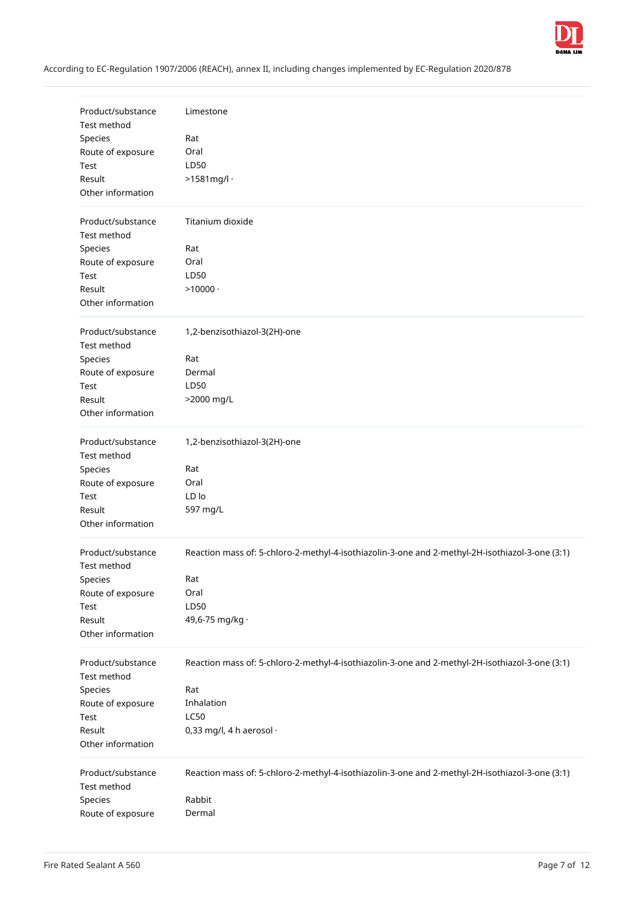

| Product/substance                | Limestone                                                                                       |
|----------------------------------|-------------------------------------------------------------------------------------------------|
| Test method                      |                                                                                                 |
| Species                          | Rat                                                                                             |
| Route of exposure                | Oral                                                                                            |
| Test                             | LD50                                                                                            |
| Result                           | $>1581$ mg/l ·                                                                                  |
| Other information                |                                                                                                 |
| Product/substance                | Titanium dioxide                                                                                |
| Test method                      |                                                                                                 |
| Species                          | Rat                                                                                             |
| Route of exposure                | Oral                                                                                            |
| Test                             | LD50                                                                                            |
| Result                           | $>10000$ .                                                                                      |
| Other information                |                                                                                                 |
|                                  |                                                                                                 |
| Product/substance                | 1,2-benzisothiazol-3(2H)-one                                                                    |
| Test method                      |                                                                                                 |
| Species                          | Rat                                                                                             |
| Route of exposure                | Dermal                                                                                          |
| Test                             | LD50                                                                                            |
| Result                           | >2000 mg/L                                                                                      |
| Other information                |                                                                                                 |
|                                  |                                                                                                 |
| Product/substance                | 1,2-benzisothiazol-3(2H)-one                                                                    |
| Test method                      |                                                                                                 |
| Species                          | Rat                                                                                             |
| Route of exposure                | Oral                                                                                            |
| Test                             | LD lo                                                                                           |
| Result                           | 597 mg/L                                                                                        |
| Other information                |                                                                                                 |
| Product/substance                | Reaction mass of: 5-chloro-2-methyl-4-isothiazolin-3-one and 2-methyl-2H-isothiazol-3-one (3:1) |
| Test method                      |                                                                                                 |
| Species                          | Rat                                                                                             |
| Route of exposure                | Oral                                                                                            |
| Test                             | LD50                                                                                            |
| Result                           | 49,6-75 mg/kg ·                                                                                 |
| Other information                |                                                                                                 |
|                                  |                                                                                                 |
| Product/substance<br>Test method | Reaction mass of: 5-chloro-2-methyl-4-isothiazolin-3-one and 2-methyl-2H-isothiazol-3-one (3:1) |
|                                  |                                                                                                 |
| Species                          | Rat<br>Inhalation                                                                               |
| Route of exposure                |                                                                                                 |
| Test                             | <b>LC50</b>                                                                                     |
| Result                           | 0,33 mg/l, 4 h aerosol $\cdot$                                                                  |
| Other information                |                                                                                                 |
| Product/substance                | Reaction mass of: 5-chloro-2-methyl-4-isothiazolin-3-one and 2-methyl-2H-isothiazol-3-one (3:1) |
| Test method                      |                                                                                                 |
| Species                          | Rabbit                                                                                          |
| Route of exposure                | Dermal                                                                                          |
|                                  |                                                                                                 |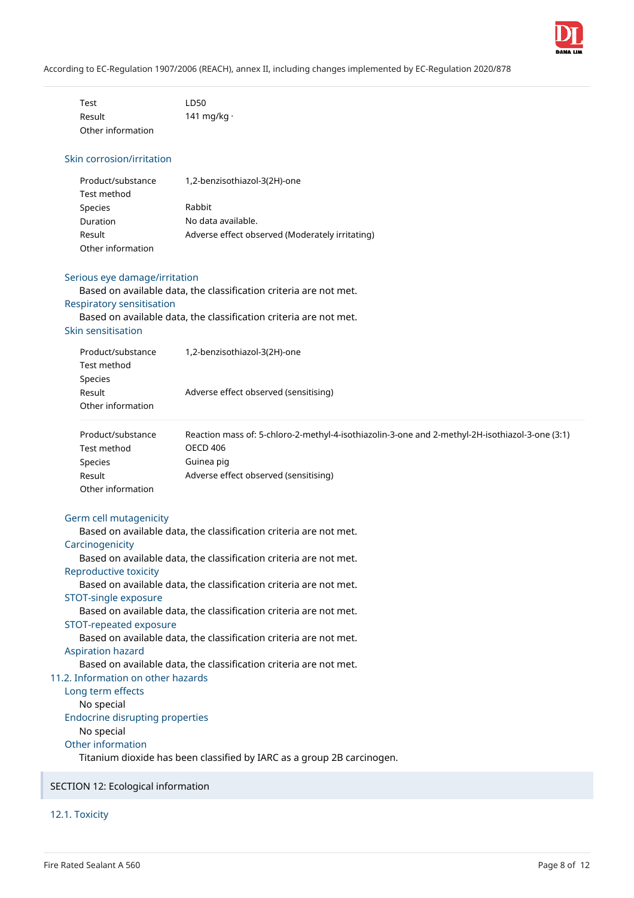

| Test              | LD50              |
|-------------------|-------------------|
| Result            | 141 mg/kg $\cdot$ |
| Other information |                   |

## Skin corrosion/irritation

| Product/substance | 1,2-benzisothiazol-3(2H)-one                    |
|-------------------|-------------------------------------------------|
| Test method       |                                                 |
| Species           | Rabbit                                          |
| Duration          | No data available.                              |
| Result            | Adverse effect observed (Moderately irritating) |
| Other information |                                                 |

#### Serious eye damage/irritation

Based on available data, the classification criteria are not met. Respiratory sensitisation

Based on available data, the classification criteria are not met.

## Skin sensitisation

| Product/substance | 1,2-benzisothiazol-3(2H)-one          |  |
|-------------------|---------------------------------------|--|
| Test method       |                                       |  |
| Species           |                                       |  |
| Result            | Adverse effect observed (sensitising) |  |
| Other information |                                       |  |
|                   |                                       |  |

| Product/substance | Reaction mass of: 5-chloro-2-methyl-4-isothiazolin-3-one and 2-methyl-2H-isothiazol-3-one (3:1) |
|-------------------|-------------------------------------------------------------------------------------------------|
| Test method       | OECD 406                                                                                        |
| <b>Species</b>    | Guinea pig                                                                                      |
| Result            | Adverse effect observed (sensitising)                                                           |
| Other information |                                                                                                 |

## Germ cell mutagenicity

Based on available data, the classification criteria are not met.

## **Carcinogenicity**

Based on available data, the classification criteria are not met.

Reproductive toxicity

Based on available data, the classification criteria are not met.

STOT-single exposure

Based on available data, the classification criteria are not met.

STOT-repeated exposure

Based on available data, the classification criteria are not met.

#### Aspiration hazard

Based on available data, the classification criteria are not met.

## 11.2. Information on other hazards

Long term effects No special Endocrine disrupting properties No special Other information Titanium dioxide has been classified by IARC as a group 2B carcinogen.

SECTION 12: Ecological information

12.1. Toxicity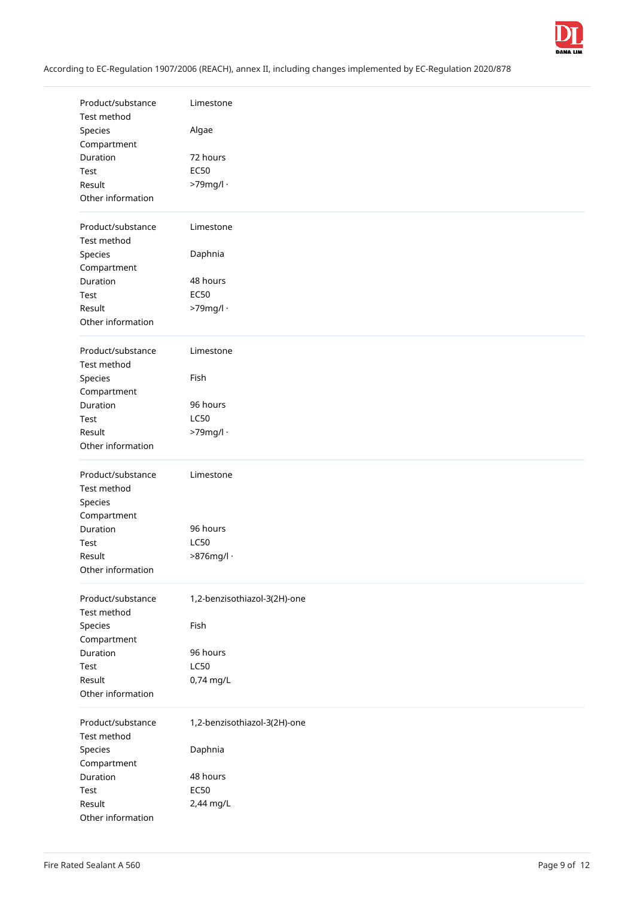

| Product/substance       | Limestone                    |
|-------------------------|------------------------------|
| Test method             |                              |
| Species                 | Algae                        |
| Compartment<br>Duration | 72 hours                     |
| Test                    | <b>EC50</b>                  |
| Result                  | >79mg/l ·                    |
| Other information       |                              |
|                         |                              |
| Product/substance       | Limestone                    |
| Test method             |                              |
| Species                 | Daphnia                      |
| Compartment             |                              |
| Duration                | 48 hours                     |
| Test                    | <b>EC50</b>                  |
| Result                  | >79mg/l ·                    |
| Other information       |                              |
|                         |                              |
| Product/substance       | Limestone                    |
| Test method             |                              |
| Species                 | Fish                         |
| Compartment             |                              |
| Duration                | 96 hours                     |
| Test                    | <b>LC50</b>                  |
| Result                  | >79mg/l ·                    |
| Other information       |                              |
| Product/substance       | Limestone                    |
| Test method             |                              |
| Species                 |                              |
| Compartment             |                              |
| Duration                | 96 hours                     |
| Test                    | <b>LC50</b>                  |
| Result                  | $>876$ mg/l ·                |
| Other information       |                              |
| Product/substance       |                              |
| Test method             | 1,2-benzisothiazol-3(2H)-one |
| Species                 | Fish                         |
| Compartment             |                              |
| Duration                | 96 hours                     |
| Test                    | <b>LC50</b>                  |
| Result                  | 0,74 mg/L                    |
| Other information       |                              |
|                         |                              |
| Product/substance       | 1,2-benzisothiazol-3(2H)-one |
| Test method             |                              |
| Species                 | Daphnia                      |
| Compartment             |                              |
| Duration                | 48 hours                     |
| Test                    | <b>EC50</b>                  |
| Result                  | 2,44 mg/L                    |
| Other information       |                              |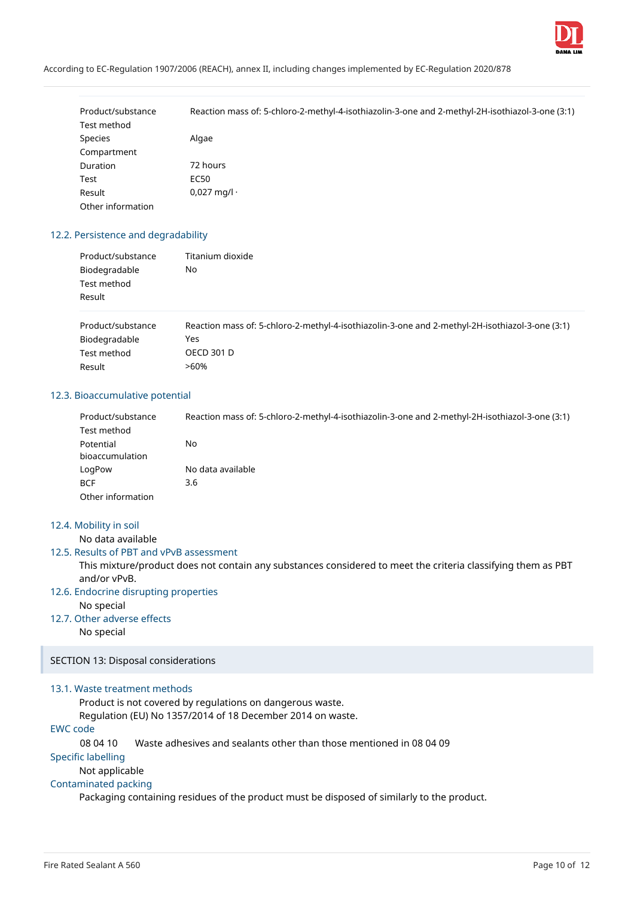

| Product/substance | Reaction mass of: 5-chloro-2-methyl-4-isothiazolin-3-one and 2-methyl-2H-isothiazol-3-one (3:1) |
|-------------------|-------------------------------------------------------------------------------------------------|
| Test method       |                                                                                                 |
| <b>Species</b>    | Algae                                                                                           |
| Compartment       |                                                                                                 |
| Duration          | 72 hours                                                                                        |
| Test              | EC50                                                                                            |
| Result            | $0,027$ mg/l $\cdot$                                                                            |
| Other information |                                                                                                 |

## 12.2. Persistence and degradability

| Product/substance | Titanium dioxide |
|-------------------|------------------|
| Biodegradable     | No               |
| Test method       |                  |
| Result            |                  |
|                   |                  |

| Product/substance | Reaction mass of: 5-chloro-2-methyl-4-isothiazolin-3-one and 2-methyl-2H-isothiazol-3-one (3:1) |
|-------------------|-------------------------------------------------------------------------------------------------|
| Biodegradable     | Yes                                                                                             |
| Test method       | <b>OECD 301 D</b>                                                                               |
| Result            | >60%                                                                                            |

#### 12.3. Bioaccumulative potential

| Product/substance | Reaction mass of: 5-chloro-2-methyl-4-isothiazolin-3-one and 2-methyl-2H-isothiazol-3-one (3:1) |
|-------------------|-------------------------------------------------------------------------------------------------|
| Test method       |                                                                                                 |
| Potential         | No                                                                                              |
| bioaccumulation   |                                                                                                 |
| LogPow            | No data available                                                                               |
| <b>BCF</b>        | 3.6                                                                                             |
| Other information |                                                                                                 |

## 12.4. Mobility in soil

No data available

#### 12.5. Results of PBT and vPvB assessment

This mixture/product does not contain any substances considered to meet the criteria classifying them as PBT and/or vPvB.

#### 12.6. Endocrine disrupting properties

No special

## 12.7. Other adverse effects

No special

SECTION 13: Disposal considerations

#### 13.1. Waste treatment methods

Product is not covered by regulations on dangerous waste.

Regulation (EU) No 1357/2014 of 18 December 2014 on waste.

## EWC code

08 04 10 Waste adhesives and sealants other than those mentioned in 08 04 09

Specific labelling

## Not applicable

#### Contaminated packing

Packaging containing residues of the product must be disposed of similarly to the product.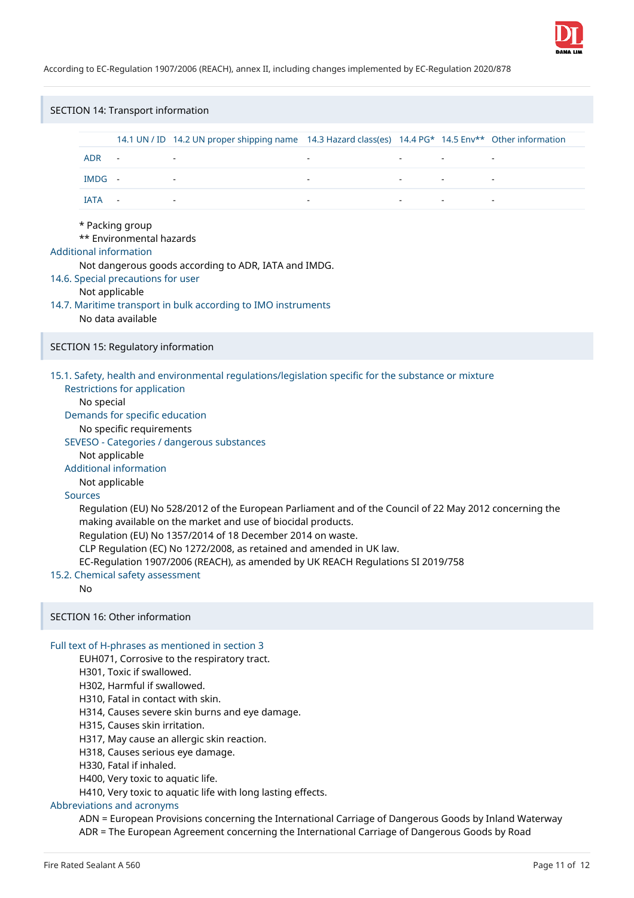

| SECTION 14: Transport information                                                                                                                                                                                                                                                                                                                                                                                                                                                                                                                                                                                                                                                                                                                                                                          |                                                                                                                                                                                                                                                                                                                                                                                                                                                                                                                                    |                                    |                                                                                                       |                          |  |                |                          |
|------------------------------------------------------------------------------------------------------------------------------------------------------------------------------------------------------------------------------------------------------------------------------------------------------------------------------------------------------------------------------------------------------------------------------------------------------------------------------------------------------------------------------------------------------------------------------------------------------------------------------------------------------------------------------------------------------------------------------------------------------------------------------------------------------------|------------------------------------------------------------------------------------------------------------------------------------------------------------------------------------------------------------------------------------------------------------------------------------------------------------------------------------------------------------------------------------------------------------------------------------------------------------------------------------------------------------------------------------|------------------------------------|-------------------------------------------------------------------------------------------------------|--------------------------|--|----------------|--------------------------|
|                                                                                                                                                                                                                                                                                                                                                                                                                                                                                                                                                                                                                                                                                                                                                                                                            |                                                                                                                                                                                                                                                                                                                                                                                                                                                                                                                                    |                                    | 14.1 UN / ID 14.2 UN proper shipping name 14.3 Hazard class(es) 14.4 PG* 14.5 Env** Other information |                          |  |                |                          |
|                                                                                                                                                                                                                                                                                                                                                                                                                                                                                                                                                                                                                                                                                                                                                                                                            | <b>ADR</b>                                                                                                                                                                                                                                                                                                                                                                                                                                                                                                                         | $\blacksquare$                     |                                                                                                       | $\overline{\phantom{a}}$ |  | $\blacksquare$ | $\overline{\phantom{a}}$ |
|                                                                                                                                                                                                                                                                                                                                                                                                                                                                                                                                                                                                                                                                                                                                                                                                            | IMDG -                                                                                                                                                                                                                                                                                                                                                                                                                                                                                                                             |                                    |                                                                                                       |                          |  |                |                          |
|                                                                                                                                                                                                                                                                                                                                                                                                                                                                                                                                                                                                                                                                                                                                                                                                            | IATA                                                                                                                                                                                                                                                                                                                                                                                                                                                                                                                               | $\sim$ $-$                         |                                                                                                       |                          |  | $\blacksquare$ |                          |
|                                                                                                                                                                                                                                                                                                                                                                                                                                                                                                                                                                                                                                                                                                                                                                                                            | * Packing group<br>** Environmental hazards<br><b>Additional information</b><br>Not dangerous goods according to ADR, IATA and IMDG.<br>14.6. Special precautions for user<br>Not applicable<br>14.7. Maritime transport in bulk according to IMO instruments<br>No data available                                                                                                                                                                                                                                                 |                                    |                                                                                                       |                          |  |                |                          |
|                                                                                                                                                                                                                                                                                                                                                                                                                                                                                                                                                                                                                                                                                                                                                                                                            |                                                                                                                                                                                                                                                                                                                                                                                                                                                                                                                                    | SECTION 15: Regulatory information |                                                                                                       |                          |  |                |                          |
| 15.1. Safety, health and environmental regulations/legislation specific for the substance or mixture<br><b>Restrictions for application</b><br>No special<br>Demands for specific education<br>No specific requirements<br>SEVESO - Categories / dangerous substances<br>Not applicable<br><b>Additional information</b><br>Not applicable<br><b>Sources</b><br>Regulation (EU) No 528/2012 of the European Parliament and of the Council of 22 May 2012 concerning the<br>making available on the market and use of biocidal products.<br>Regulation (EU) No 1357/2014 of 18 December 2014 on waste.<br>CLP Regulation (EC) No 1272/2008, as retained and amended in UK law.<br>EC-Regulation 1907/2006 (REACH), as amended by UK REACH Regulations SI 2019/758<br>15.2. Chemical safety assessment<br>No |                                                                                                                                                                                                                                                                                                                                                                                                                                                                                                                                    |                                    |                                                                                                       |                          |  |                |                          |
|                                                                                                                                                                                                                                                                                                                                                                                                                                                                                                                                                                                                                                                                                                                                                                                                            |                                                                                                                                                                                                                                                                                                                                                                                                                                                                                                                                    | SECTION 16: Other information      |                                                                                                       |                          |  |                |                          |
|                                                                                                                                                                                                                                                                                                                                                                                                                                                                                                                                                                                                                                                                                                                                                                                                            | Full text of H-phrases as mentioned in section 3<br>EUH071, Corrosive to the respiratory tract.<br>H301, Toxic if swallowed.<br>H302, Harmful if swallowed.<br>H310, Fatal in contact with skin.<br>H314, Causes severe skin burns and eye damage.<br>H315, Causes skin irritation.<br>H317, May cause an allergic skin reaction.<br>H318, Causes serious eye damage.<br>H330, Fatal if inhaled.<br>H400, Very toxic to aquatic life.<br>H410, Very toxic to aquatic life with long lasting effects.<br>Abbreviations and acronyms |                                    |                                                                                                       |                          |  |                |                          |

ADN = European Provisions concerning the International Carriage of Dangerous Goods by Inland Waterway ADR = The European Agreement concerning the International Carriage of Dangerous Goods by Road